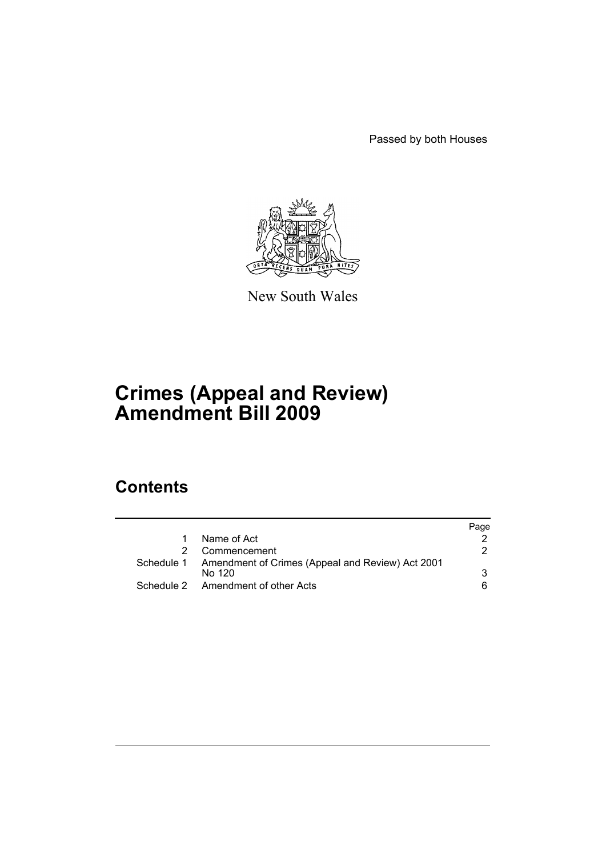Passed by both Houses



New South Wales

# **Crimes (Appeal and Review) Amendment Bill 2009**

# **Contents**

|                                                             | Page   |
|-------------------------------------------------------------|--------|
| Name of Act                                                 |        |
| Commencement                                                | 2      |
| Schedule 1 Amendment of Crimes (Appeal and Review) Act 2001 | 3      |
|                                                             |        |
| Schedule 2 Amendment of other Acts                          | 6.     |
|                                                             | No 120 |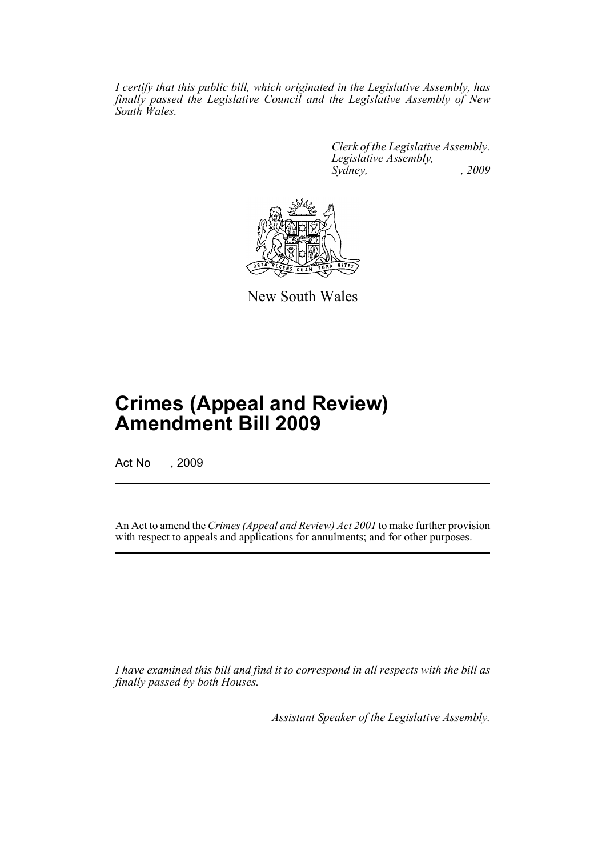*I certify that this public bill, which originated in the Legislative Assembly, has finally passed the Legislative Council and the Legislative Assembly of New South Wales.*

> *Clerk of the Legislative Assembly. Legislative Assembly, Sydney, , 2009*



New South Wales

# **Crimes (Appeal and Review) Amendment Bill 2009**

Act No , 2009

An Act to amend the *Crimes (Appeal and Review) Act 2001* to make further provision with respect to appeals and applications for annulments; and for other purposes.

*I have examined this bill and find it to correspond in all respects with the bill as finally passed by both Houses.*

*Assistant Speaker of the Legislative Assembly.*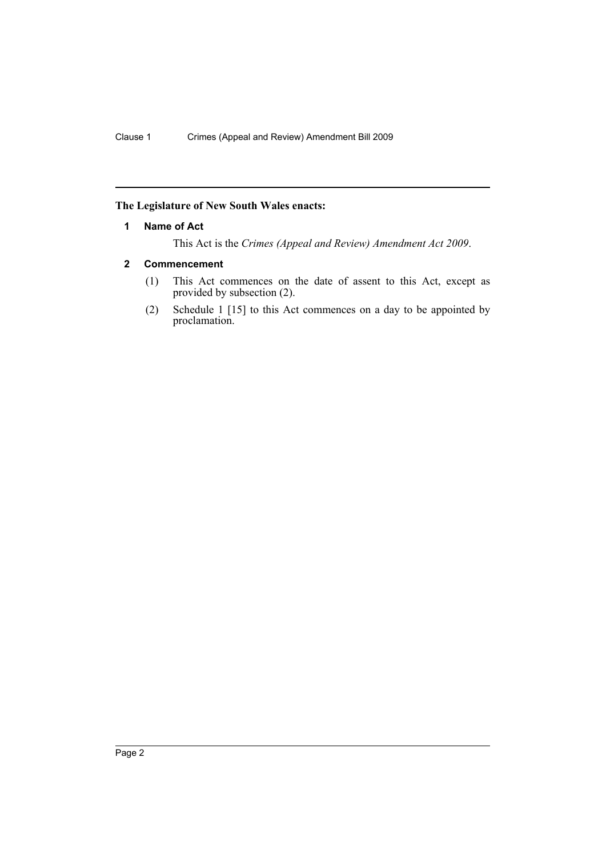### <span id="page-2-0"></span>**The Legislature of New South Wales enacts:**

#### **1 Name of Act**

This Act is the *Crimes (Appeal and Review) Amendment Act 2009*.

### <span id="page-2-1"></span>**2 Commencement**

- (1) This Act commences on the date of assent to this Act, except as provided by subsection (2).
- (2) Schedule 1 [15] to this Act commences on a day to be appointed by proclamation.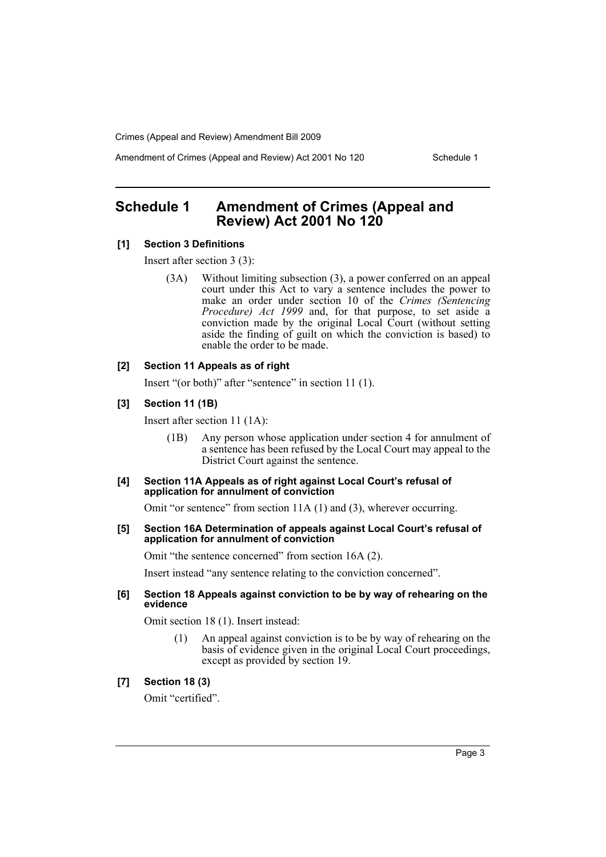Amendment of Crimes (Appeal and Review) Act 2001 No 120 Schedule 1

# <span id="page-3-0"></span>**Schedule 1 Amendment of Crimes (Appeal and Review) Act 2001 No 120**

#### **[1] Section 3 Definitions**

Insert after section 3 (3):

(3A) Without limiting subsection (3), a power conferred on an appeal court under this Act to vary a sentence includes the power to make an order under section 10 of the *Crimes (Sentencing Procedure) Act 1999* and, for that purpose, to set aside a conviction made by the original Local Court (without setting aside the finding of guilt on which the conviction is based) to enable the order to be made.

#### **[2] Section 11 Appeals as of right**

Insert "(or both)" after "sentence" in section 11 (1).

#### **[3] Section 11 (1B)**

Insert after section 11 (1A):

(1B) Any person whose application under section 4 for annulment of a sentence has been refused by the Local Court may appeal to the District Court against the sentence.

#### **[4] Section 11A Appeals as of right against Local Court's refusal of application for annulment of conviction**

Omit "or sentence" from section 11A (1) and (3), wherever occurring.

**[5] Section 16A Determination of appeals against Local Court's refusal of application for annulment of conviction**

Omit "the sentence concerned" from section 16A (2).

Insert instead "any sentence relating to the conviction concerned".

#### **[6] Section 18 Appeals against conviction to be by way of rehearing on the evidence**

Omit section 18 (1). Insert instead:

(1) An appeal against conviction is to be by way of rehearing on the basis of evidence given in the original Local Court proceedings, except as provided by section 19.

#### **[7] Section 18 (3)**

Omit "certified".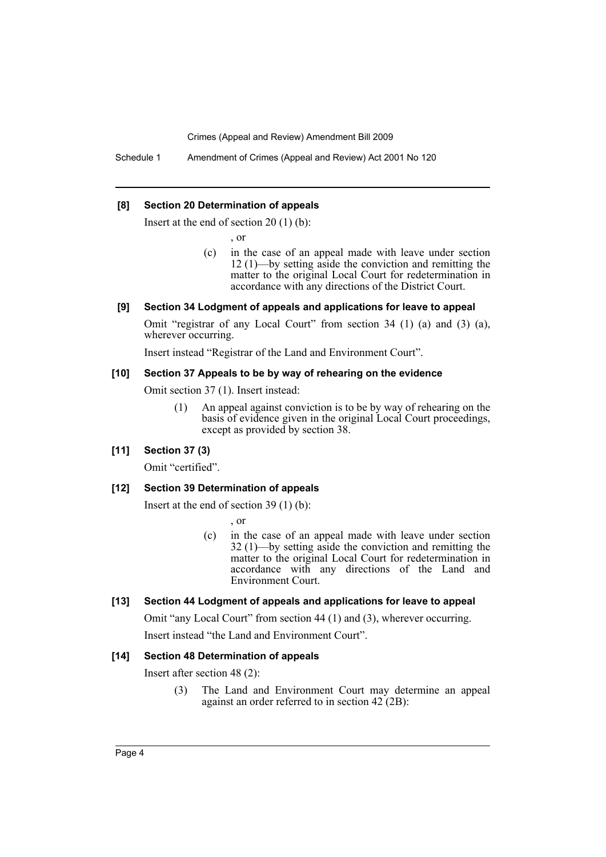Schedule 1 Amendment of Crimes (Appeal and Review) Act 2001 No 120

#### **[8] Section 20 Determination of appeals**

Insert at the end of section 20 (1) (b):

, or

(c) in the case of an appeal made with leave under section 12 (1)—by setting aside the conviction and remitting the matter to the original Local Court for redetermination in accordance with any directions of the District Court.

#### **[9] Section 34 Lodgment of appeals and applications for leave to appeal**

Omit "registrar of any Local Court" from section 34 (1) (a) and (3) (a), wherever occurring.

Insert instead "Registrar of the Land and Environment Court".

#### **[10] Section 37 Appeals to be by way of rehearing on the evidence**

Omit section 37 (1). Insert instead:

(1) An appeal against conviction is to be by way of rehearing on the basis of evidence given in the original Local Court proceedings, except as provided by section 38.

#### **[11] Section 37 (3)**

Omit "certified".

#### **[12] Section 39 Determination of appeals**

Insert at the end of section 39 (1) (b):

, or

(c) in the case of an appeal made with leave under section 32 (1)—by setting aside the conviction and remitting the matter to the original Local Court for redetermination in accordance with any directions of the Land and Environment Court.

#### **[13] Section 44 Lodgment of appeals and applications for leave to appeal**

Omit "any Local Court" from section 44 (1) and (3), wherever occurring. Insert instead "the Land and Environment Court".

#### **[14] Section 48 Determination of appeals**

Insert after section 48 (2):

(3) The Land and Environment Court may determine an appeal against an order referred to in section 42 (2B):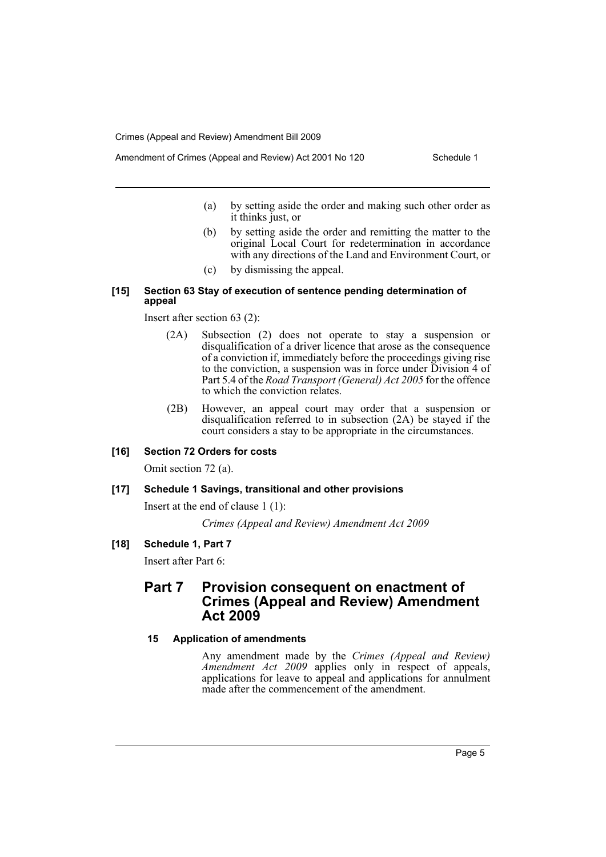- (a) by setting aside the order and making such other order as it thinks just, or
- (b) by setting aside the order and remitting the matter to the original Local Court for redetermination in accordance with any directions of the Land and Environment Court, or
- (c) by dismissing the appeal.

#### **[15] Section 63 Stay of execution of sentence pending determination of appeal**

Insert after section 63 (2):

- (2A) Subsection (2) does not operate to stay a suspension or disqualification of a driver licence that arose as the consequence of a conviction if, immediately before the proceedings giving rise to the conviction, a suspension was in force under Division 4 of Part 5.4 of the *Road Transport (General) Act 2005* for the offence to which the conviction relates.
- (2B) However, an appeal court may order that a suspension or disqualification referred to in subsection (2A) be stayed if the court considers a stay to be appropriate in the circumstances.

#### **[16] Section 72 Orders for costs**

Omit section 72 (a).

#### **[17] Schedule 1 Savings, transitional and other provisions**

Insert at the end of clause 1 (1):

*Crimes (Appeal and Review) Amendment Act 2009*

**[18] Schedule 1, Part 7**

Insert after Part 6:

## **Part 7 Provision consequent on enactment of Crimes (Appeal and Review) Amendment Act 2009**

#### **15 Application of amendments**

Any amendment made by the *Crimes (Appeal and Review) Amendment Act 2009* applies only in respect of appeals, applications for leave to appeal and applications for annulment made after the commencement of the amendment.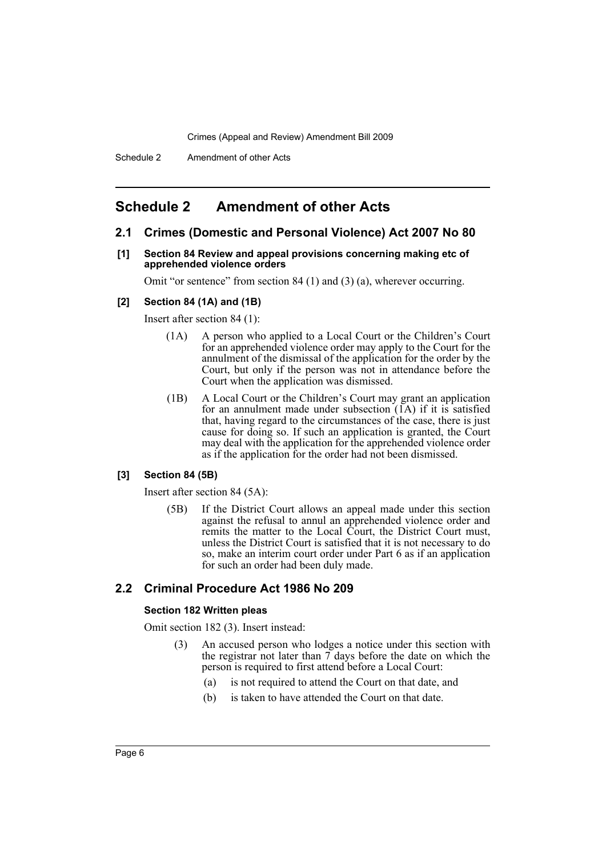## <span id="page-6-0"></span>**Schedule 2 Amendment of other Acts**

#### **2.1 Crimes (Domestic and Personal Violence) Act 2007 No 80**

**[1] Section 84 Review and appeal provisions concerning making etc of apprehended violence orders**

Omit "or sentence" from section 84 (1) and (3) (a), wherever occurring.

#### **[2] Section 84 (1A) and (1B)**

Insert after section 84 (1):

- (1A) A person who applied to a Local Court or the Children's Court for an apprehended violence order may apply to the Court for the annulment of the dismissal of the application for the order by the Court, but only if the person was not in attendance before the Court when the application was dismissed.
- (1B) A Local Court or the Children's Court may grant an application for an annulment made under subsection  $(1A)$  if it is satisfied that, having regard to the circumstances of the case, there is just cause for doing so. If such an application is granted, the Court may deal with the application for the apprehended violence order as if the application for the order had not been dismissed.

#### **[3] Section 84 (5B)**

Insert after section 84 (5A):

(5B) If the District Court allows an appeal made under this section against the refusal to annul an apprehended violence order and remits the matter to the Local Court, the District Court must, unless the District Court is satisfied that it is not necessary to do so, make an interim court order under Part 6 as if an application for such an order had been duly made.

## **2.2 Criminal Procedure Act 1986 No 209**

#### **Section 182 Written pleas**

Omit section 182 (3). Insert instead:

- (3) An accused person who lodges a notice under this section with the registrar not later than  $\tilde{\tau}$  days before the date on which the person is required to first attend before a Local Court:
	- (a) is not required to attend the Court on that date, and
	- (b) is taken to have attended the Court on that date.